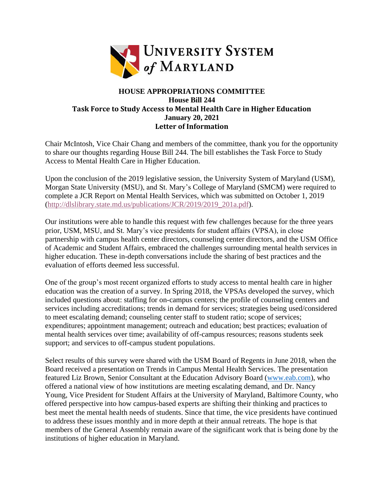

## **HOUSE APPROPRIATIONS COMMITTEE House Bill 244 Task Force to Study Access to Mental Health Care in Higher Education January 20, 2021 Letter of Information**

Chair McIntosh, Vice Chair Chang and members of the committee, thank you for the opportunity to share our thoughts regarding House Bill 244. The bill establishes the Task Force to Study Access to Mental Health Care in Higher Education.

Upon the conclusion of the 2019 legislative session, the University System of Maryland (USM), Morgan State University (MSU), and St. Mary's College of Maryland (SMCM) were required to complete a JCR Report on Mental Health Services, which was submitted on October 1, 2019 [\(http://dlslibrary.state.md.us/publications/JCR/2019/2019\\_201a.pdf\)](http://dlslibrary.state.md.us/publications/JCR/2019/2019_201a.pdf).

Our institutions were able to handle this request with few challenges because for the three years prior, USM, MSU, and St. Mary's vice presidents for student affairs (VPSA), in close partnership with campus health center directors, counseling center directors, and the USM Office of Academic and Student Affairs, embraced the challenges surrounding mental health services in higher education. These in-depth conversations include the sharing of best practices and the evaluation of efforts deemed less successful.

One of the group's most recent organized efforts to study access to mental health care in higher education was the creation of a survey. In Spring 2018, the VPSAs developed the survey, which included questions about: staffing for on-campus centers; the profile of counseling centers and services including accreditations; trends in demand for services; strategies being used/considered to meet escalating demand; counseling center staff to student ratio; scope of services; expenditures; appointment management; outreach and education; best practices; evaluation of mental health services over time; availability of off-campus resources; reasons students seek support; and services to off-campus student populations.

Select results of this survey were shared with the USM Board of Regents in June 2018, when the Board received a presentation on Trends in Campus Mental Health Services. The presentation featured Liz Brown, Senior Consultant at the Education Advisory Board [\(www.eab.com\)](http://www.eab.com/), who offered a national view of how institutions are meeting escalating demand, and Dr. Nancy Young, Vice President for Student Affairs at the University of Maryland, Baltimore County, who offered perspective into how campus-based experts are shifting their thinking and practices to best meet the mental health needs of students. Since that time, the vice presidents have continued to address these issues monthly and in more depth at their annual retreats. The hope is that members of the General Assembly remain aware of the significant work that is being done by the institutions of higher education in Maryland.